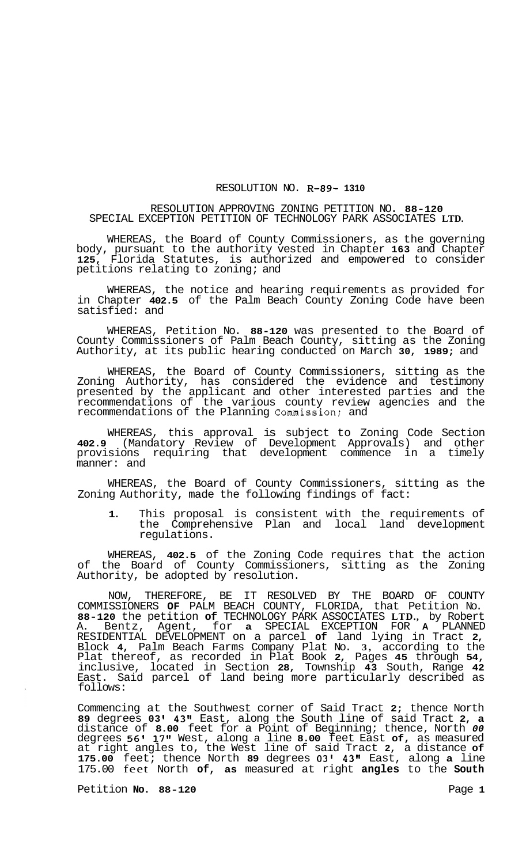## RESOLUTION NO. **R-89- 1310**

## RESOLUTION APPROVING ZONING PETITION NO. **88-120**  SPECIAL EXCEPTION PETITION OF TECHNOLOGY PARK ASSOCIATES **LTD.**

WHEREAS, the Board of County Commissioners, as the governing body, pursuant to the authority vested in Chapter **163** and Chapter **125,** Florida Statutes, is authorized and empowered to consider petitions relating to zoning; and

WHEREAS, the notice and hearing requirements as provided for in Chapter **402.5** of the Palm Beach County Zoning Code have been satisfied: and

WHEREAS, Petition No. **88-120** was presented to the Board of County Commissioners of Palm Beach County, sitting as the Zoning Authority, at its public hearing conducted on March **30, 1989;** and

WHEREAS, the Board of County Commissioners, sitting as the Zoning Authority, has considered the evidence and testimony presented by the applicant and other interested parties and the recommendations of the various county review agencies and the recommendations of the Planning Commission: and

WHEREAS, this approval is subject to Zoning Code Section **402.9** (Mandatory Review of Development Approvals) and other provisions requiring that development commence in a timely manner: and

WHEREAS, the Board of County Commissioners, sitting as the Zoning Authority, made the following findings of fact:

**1.** This proposal is consistent with the requirements of the Comprehensive Plan and local land development regulations.

WHEREAS, **402.5** of the Zoning Code requires that the action of the Board of County Commissioners, sitting as the Zoning Authority, be adopted by resolution.

NOW, THEREFORE, BE IT RESOLVED BY THE BOARD OF COUNTY COMMISSIONERS **OF** PALM BEACH COUNTY, FLORIDA, that Petition No. **88-120** the petition **of** TECHNOLOGY PARK ASSOCIATES **LTD.,** by Robert A. Bentz, Agent, for **a** SPECIAL EXCEPTION FOR **A** PLANNED RESIDENTIAL DEVELOPMENT on a parcel **of** land lying in Tract **2,**  Block **4,** Palm Beach Farms Company Plat No. **3,** according to the Plat thereof, as recorded in Plat Book **2,** Pages **45** through **54,**  inclusive, located in Section **28,** Township **43** South, Range **42**  East. Said parcel of land being more particularly described as follows:

Commencing at the Southwest corner of Said Tract **2;** thence North **89** degrees **03 43''** East, along the South line of said Tract **2, a**  distance of **8.00** feet for a Point of Beginning; thence, North *00*  degrees **56' 17"** West, along a line **8.00** feet East **of,** as measured at right angles to, the West line of said Tract **2,** a distance **of 175.00** feet; thence North **89** degrees **03' 43"** East, along **a** line 175.00 feet North **of, as** measured at right **angles** to the **South** 

Petition **No.** 88-120 **Page 1**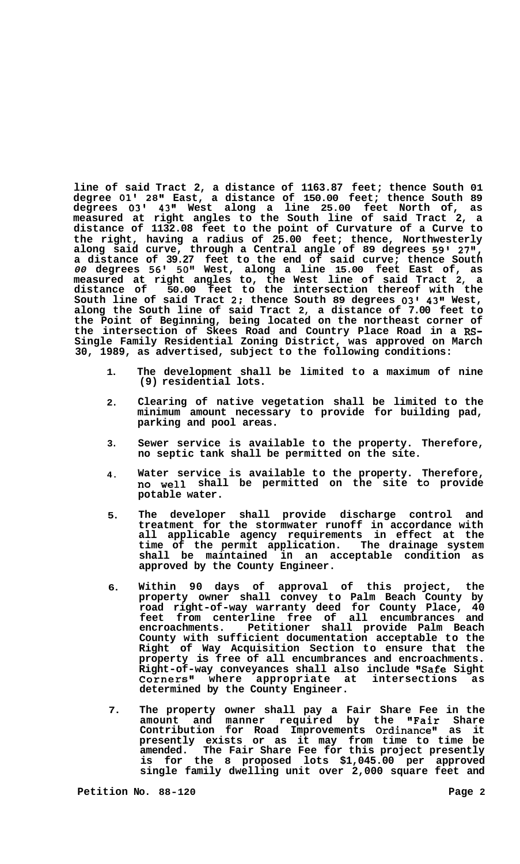**line of said Tract 2, a distance of 1163.87 feet; thence South 01 degree 01' 28" East, a distance of 150.00 feet; thence South 89 degrees 03' 43" West along a line 25.00 feet North of, as measured at right angles to the South line of said Tract 2, a distance of 1132.08 feet to the point of Curvature of a Curve to the right, having a radius of 25.00 feet; thence, Northwesterly along said curve, through a Central angle of 89 degrees 591 27", a distance of 39.27 feet to the end of said curve; thence South**  *00* **degrees 56' 50" West, along a line 15.00 feet East of, as measured at right angles to, the West line of said Tract 2, a distance of 50.00 feet to the intersection thereof with the South line of said Tract 2: thence South 89 degrees 03' 43" West, along the South line of said Tract 2, a distance of 7.00 feet to the Point of Beginning, being located on the northeast corner of the intersection of Skees Road and Country Place Road in a RS-Single Family Residential Zoning District, was approved on March 30, 1989, as advertised, subject to the following conditions:** 

- **1. The development shall be limited to a maximum of nine (9) residential lots.**
- **2. Clearing of native vegetation shall be limited to the minimum amount necessary to provide for building pad, parking and pool areas.**
- **3. Sewer service is available to the property. Therefore, no septic tank shall be permitted on the site.**
- **4. Water service is available to the property. Therefore, no well shall be permitted on the site to provide potable water.**
- **5. The developer shall provide discharge control and treatment for the stormwater runoff in accordance with all applicable agency requirements in effect at the time of the permit application. The drainage system shall be maintained in an acceptable condition as approved by the County Engineer.**
- **6. Within 90 days of approval of this project, the property owner shall convey to Palm Beach County by road right-of-way warranty deed for County Place, 40 feet from centerline free of all encumbrances and encroachments. Petitioner shall provide Palm Beach County with sufficient documentation acceptable to the Right of Way Acquisition Section to ensure that the property is free of all encumbrances and encroachments. Right-of-way conveyances shall also include "Safe Sight**  Corners" where appropriate at **determined by the County Engineer.**
- **7. The property owner shall pay a Fair Share Fee in the amount and manner required by the "Fair Share**  Contribution for Road Improvements Ordinance" as it **presently exists or as it may from time to time be amended. The Fair Share Fee for this project presently is for the 8 proposed lots \$1,045.00 per approved single family dwelling unit over 2,000 square feet and**